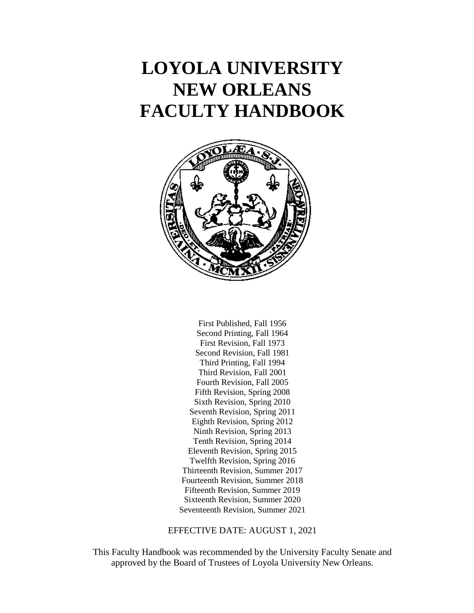# **LOYOLA UNIVERSITY NEW ORLEANS FACULTY HANDBOOK**



First Published, Fall 1956 Second Printing, Fall 1964 First Revision, Fall 1973 Second Revision, Fall 1981 Third Printing, Fall 1994 Third Revision, Fall 2001 Fourth Revision, Fall 2005 Fifth Revision, Spring 2008 Sixth Revision, Spring 2010 Seventh Revision, Spring 2011 Eighth Revision, Spring 2012 Ninth Revision, Spring 2013 Tenth Revision, Spring 2014 Eleventh Revision, Spring 2015 Twelfth Revision, Spring 2016 Thirteenth Revision, Summer 2017 Fourteenth Revision, Summer 2018 Fifteenth Revision, Summer 2019 Sixteenth Revision, Summer 2020 Seventeenth Revision, Summer 2021

EFFECTIVE DATE: AUGUST 1, 2021

This Faculty Handbook was recommended by the University Faculty Senate and approved by the Board of Trustees of Loyola University New Orleans.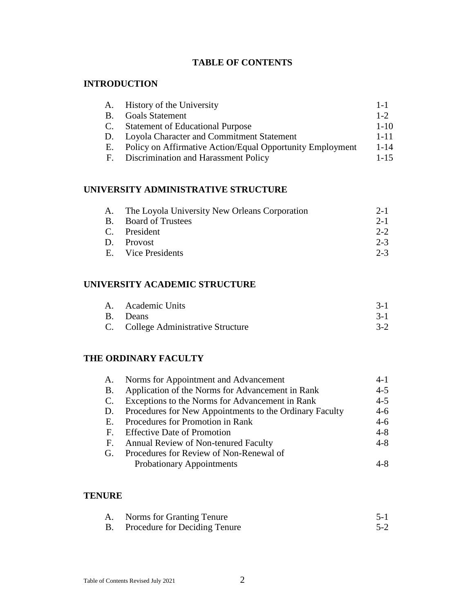# **TABLE OF CONTENTS**

## **INTRODUCTION**

| A.        | History of the University                                 | $1 - 1$  |
|-----------|-----------------------------------------------------------|----------|
| <b>B.</b> | <b>Goals Statement</b>                                    | $1 - 2$  |
| C.        | <b>Statement of Educational Purpose</b>                   | $1 - 10$ |
| D.        | Loyola Character and Commitment Statement                 | $1 - 11$ |
| E.        | Policy on Affirmative Action/Equal Opportunity Employment | $1 - 14$ |
| - F.      | Discrimination and Harassment Policy                      | $1 - 15$ |

# **UNIVERSITY ADMINISTRATIVE STRUCTURE**

| A. The Loyola University New Orleans Corporation | $2 - 1$ |
|--------------------------------------------------|---------|
| B. Board of Trustees                             | $2 - 1$ |
| C. President                                     | $2 - 2$ |
| D. Provost                                       | $2 - 3$ |
| E. Vice Presidents                               | $2 - 3$ |
|                                                  |         |

# **UNIVERSITY ACADEMIC STRUCTURE**

| A. Academic Units                   |  |
|-------------------------------------|--|
| B. Deans                            |  |
| C. College Administrative Structure |  |

## **THE ORDINARY FACULTY**

| A.          | Norms for Appointment and Advancement                   | $4-1$   |
|-------------|---------------------------------------------------------|---------|
| <b>B.</b>   | Application of the Norms for Advancement in Rank        | $4 - 5$ |
| C.          | Exceptions to the Norms for Advancement in Rank         | $4 - 5$ |
| D.          | Procedures for New Appointments to the Ordinary Faculty | $4-6$   |
| E.          | Procedures for Promotion in Rank                        | $4-6$   |
| $F_{\cdot}$ | <b>Effective Date of Promotion</b>                      | $4 - 8$ |
| F.          | Annual Review of Non-tenured Faculty                    | $4 - 8$ |
| G.          | Procedures for Review of Non-Renewal of                 |         |
|             | <b>Probationary Appointments</b>                        | 4-X     |

## **TENURE**

| A. Norms for Granting Tenure     |         |
|----------------------------------|---------|
| B. Procedure for Deciding Tenure | $5 - 2$ |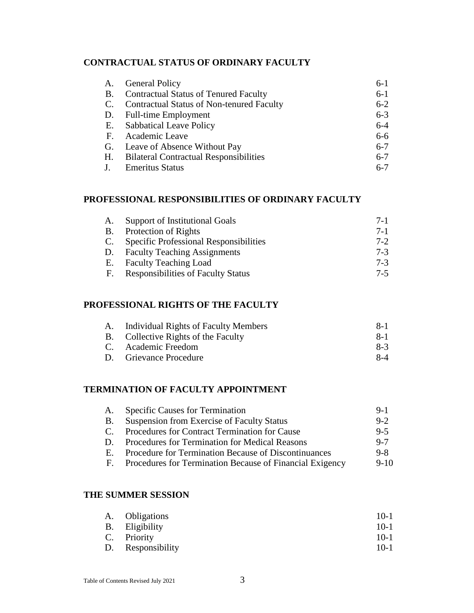## **CONTRACTUAL STATUS OF ORDINARY FACULTY**

| А.        | <b>General Policy</b>                            | $6-1$   |
|-----------|--------------------------------------------------|---------|
| <b>B.</b> | <b>Contractual Status of Tenured Faculty</b>     | $6-1$   |
| C.        | <b>Contractual Status of Non-tenured Faculty</b> | $6 - 2$ |
|           | D. Full-time Employment                          | $6 - 3$ |
|           | E. Sabbatical Leave Policy                       | $6 - 4$ |
|           | F. Academic Leave                                | $6-6$   |
|           | G. Leave of Absence Without Pay                  | $6 - 7$ |
| H.        | <b>Bilateral Contractual Responsibilities</b>    | $6 - 7$ |
|           | <b>Emeritus Status</b>                           | $6 - 7$ |

## **PROFESSIONAL RESPONSIBILITIES OF ORDINARY FACULTY**

| A.        | Support of Institutional Goals                | $7-1$   |
|-----------|-----------------------------------------------|---------|
| <b>B.</b> | Protection of Rights                          | $7-1$   |
| C.        | <b>Specific Professional Responsibilities</b> | $7 - 2$ |
| D.        | <b>Faculty Teaching Assignments</b>           | $7-3$   |
| Е.        | <b>Faculty Teaching Load</b>                  | $7-3$   |
| F.        | <b>Responsibilities of Faculty Status</b>     | $7-5$   |

# **PROFESSIONAL RIGHTS OF THE FACULTY**

| A. | Individual Rights of Faculty Members | $8-1$ |
|----|--------------------------------------|-------|
|    | B. Collective Rights of the Faculty  | $8-1$ |
|    | C. Academic Freedom                  | $8-3$ |
|    | D. Grievance Procedure               | $8-4$ |

## **TERMINATION OF FACULTY APPOINTMENT**

| A.           | <b>Specific Causes for Termination</b>                   | $9-1$   |
|--------------|----------------------------------------------------------|---------|
| B.           | <b>Suspension from Exercise of Faculty Status</b>        | $9 - 2$ |
| $\mathbf{C}$ | Procedures for Contract Termination for Cause            | $9 - 5$ |
| D.           | <b>Procedures for Termination for Medical Reasons</b>    | $9 - 7$ |
| Е.           | Procedure for Termination Because of Discontinuances     | $9 - 8$ |
| F.           | Procedures for Termination Because of Financial Exigency | $9-10$  |

# **THE SUMMER SESSION**

| A. Obligations    | $10-1$ |
|-------------------|--------|
| B. Eligibility    | $10-1$ |
| C. Priority       | $10-1$ |
| D. Responsibility | $10-1$ |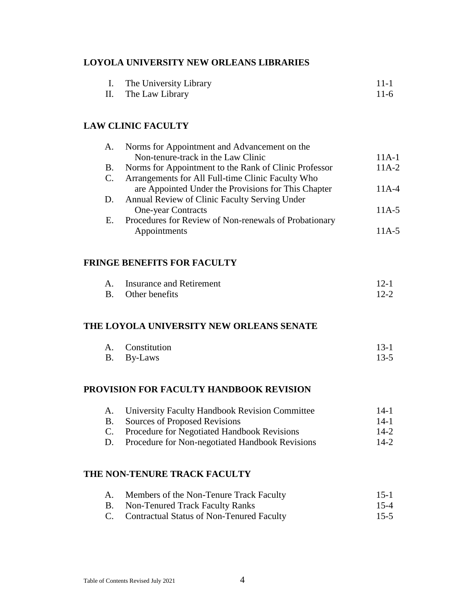## **LOYOLA UNIVERSITY NEW ORLEANS LIBRARIES**

| I. The University Library | $11 - 1$ |
|---------------------------|----------|
| II. The Law Library       | $11-6$   |

## **LAW CLINIC FACULTY**

| A. | Norms for Appointment and Advancement on the          |         |
|----|-------------------------------------------------------|---------|
|    | Non-tenure-track in the Law Clinic                    | $11A-1$ |
| В. | Norms for Appointment to the Rank of Clinic Professor | $11A-2$ |
| C. | Arrangements for All Full-time Clinic Faculty Who     |         |
|    | are Appointed Under the Provisions for This Chapter   | $11A-4$ |
|    | D. Annual Review of Clinic Faculty Serving Under      |         |
|    | <b>One-year Contracts</b>                             | $11A-5$ |
| Е. | Procedures for Review of Non-renewals of Probationary |         |
|    | Appointments                                          | 11A-5   |

#### **FRINGE BENEFITS FOR FACULTY**

| A. | Insurance and Retirement | $12-1$   |
|----|--------------------------|----------|
|    | B. Other benefits        | $12 - 2$ |

#### **THE LOYOLA UNIVERSITY NEW ORLEANS SENATE**

| A. Constitution | $13 - 1$ |
|-----------------|----------|
| B. By-Laws      | $13 - 5$ |

# **PROVISION FOR FACULTY HANDBOOK REVISION**

| A.        | University Faculty Handbook Revision Committee     | $14-1$ |
|-----------|----------------------------------------------------|--------|
| <b>B.</b> | Sources of Proposed Revisions                      | 14-1   |
|           | C. Procedure for Negotiated Handbook Revisions     | $14-2$ |
|           | D. Procedure for Non-negotiated Handbook Revisions | $14-2$ |

# **THE NON-TENURE TRACK FACULTY**

|    | A. Members of the Non-Tenure Track Faculty | $15-1$   |
|----|--------------------------------------------|----------|
| B. | Non-Tenured Track Faculty Ranks            | $15 - 4$ |

C. Contractual Status of Non-Tenured Faculty 15-5